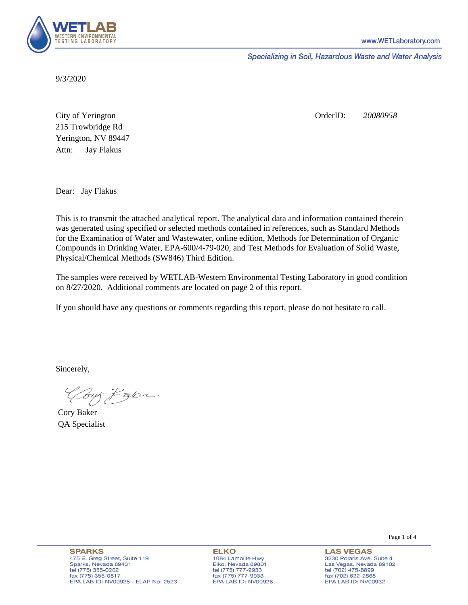

Specializing in Soil, Hazardous Waste and Water Analysis

9/3/2020

Attn: City of Yerington 215 Trowbridge Rd Jay Flakus Yerington, NV 89447 OrderID: *20080958*

Dear: Jay Flakus

This is to transmit the attached analytical report. The analytical data and information contained therein was generated using specified or selected methods contained in references, such as Standard Methods for the Examination of Water and Wastewater, online edition, Methods for Determination of Organic Compounds in Drinking Water, EPA-600/4-79-020, and Test Methods for Evaluation of Solid Waste, Physical/Chemical Methods (SW846) Third Edition.

The samples were received by WETLAB-Western Environmental Testing Laboratory in good condition on 8/27/2020. Additional comments are located on page 2 of this report.

If you should have any questions or comments regarding this report, please do not hesitate to call.

Sincerely,

Coy Palor

Cory Baker QA Specialist

Page 1 of 4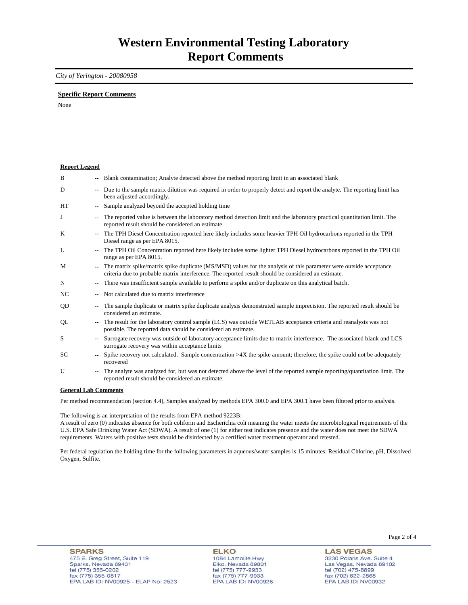### *City of Yerington - 20080958*

### **Specific Report Comments**

None

| <b>Report Legend</b> |                          |                                                                                                                                                                                                                           |
|----------------------|--------------------------|---------------------------------------------------------------------------------------------------------------------------------------------------------------------------------------------------------------------------|
| B                    |                          | -- Blank contamination; Analyte detected above the method reporting limit in an associated blank                                                                                                                          |
| D                    | $- -$                    | Due to the sample matrix dilution was required in order to properly detect and report the analyte. The reporting limit has<br>been adjusted accordingly.                                                                  |
| HT                   |                          | Sample analyzed beyond the accepted holding time                                                                                                                                                                          |
| J                    |                          | The reported value is between the laboratory method detection limit and the laboratory practical quantitation limit. The<br>reported result should be considered an estimate.                                             |
| K                    | $\overline{\phantom{a}}$ | The TPH Diesel Concentration reported here likely includes some heavier TPH Oil hydrocarbons reported in the TPH<br>Diesel range as per EPA 8015.                                                                         |
| L                    |                          | The TPH Oil Concentration reported here likely includes some lighter TPH Diesel hydrocarbons reported in the TPH Oil<br>range as per EPA 8015.                                                                            |
| M                    |                          | The matrix spike/matrix spike duplicate (MS/MSD) values for the analysis of this parameter were outside acceptance<br>criteria due to probable matrix interference. The reported result should be considered an estimate. |
| N                    | $\overline{\phantom{a}}$ | There was insufficient sample available to perform a spike and/or duplicate on this analytical batch.                                                                                                                     |
| NC                   |                          | Not calculated due to matrix interference                                                                                                                                                                                 |
| QD                   | $\overline{\phantom{a}}$ | The sample duplicate or matrix spike duplicate analysis demonstrated sample imprecision. The reported result should be<br>considered an estimate.                                                                         |
| QL                   |                          | The result for the laboratory control sample (LCS) was outside WETLAB acceptance criteria and reanalysis was not<br>possible. The reported data should be considered an estimate.                                         |
| S                    |                          | Surrogate recovery was outside of laboratory acceptance limits due to matrix interference. The associated blank and LCS<br>surrogate recovery was within acceptance limits                                                |
| SC                   |                          | Spike recovery not calculated. Sample concentration $>4X$ the spike amount; therefore, the spike could not be adequately<br>recovered                                                                                     |
| U                    |                          | The analyte was analyzed for, but was not detected above the level of the reported sample reporting/quantitation limit. The<br>reported result should be considered an estimate.                                          |
| $\sim$               |                          | $\mathbf{1}$ $\mathbf{1}$ $\alpha$                                                                                                                                                                                        |

#### **General Lab Comments**

Per method recommendation (section 4.4), Samples analyzed by methods EPA 300.0 and EPA 300.1 have been filtered prior to analysis.

The following is an interpretation of the results from EPA method 9223B:

A result of zero (0) indicates absence for both coliform and Escherichia coli meaning the water meets the microbiological requirements of the U.S. EPA Safe Drinking Water Act (SDWA). A result of one (1) for either test indicates presence and the water does not meet the SDWA requirements. Waters with positive tests should be disinfected by a certified water treatment operator and retested.

Per federal regulation the holding time for the following parameters in aqueous/water samples is 15 minutes: Residual Chlorine, pH, Dissolved Oxygen, Sulfite.

**ELKO** 1084 Lamoille Hwy Elko, Nevada 89801 tel (775) 777-9933<br>fax (775) 777-9933 EPA LAB ID: NV00926 Page 2 of 4

**LAS VEGAS** 3230 Polaris Ave. Suite 4 Las Vegas, Nevada 89102 tel (702) 475-8899<br>fax (702) 622-2868 EPA LAB ID: NV00932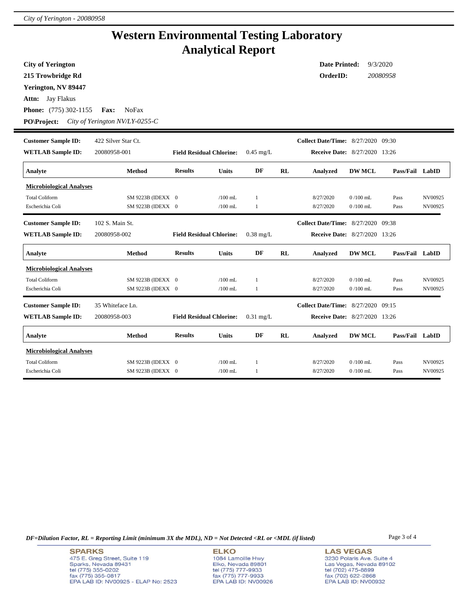## **Western Environmental Testing Laboratory Analytical Report**

| <b>City of Yerington</b>        | <b>Date Printed:</b><br>9/3/2020 |                                 |              |              |    |                                           |               |                 |         |
|---------------------------------|----------------------------------|---------------------------------|--------------|--------------|----|-------------------------------------------|---------------|-----------------|---------|
| 215 Trowbridge Rd               |                                  |                                 |              |              |    | OrderID:<br>20080958                      |               |                 |         |
| Yerington, NV 89447             |                                  |                                 |              |              |    |                                           |               |                 |         |
| Attn: Jay Flakus                |                                  |                                 |              |              |    |                                           |               |                 |         |
| Phone: (775) 302-1155           | <b>NoFax</b><br>Fax:             |                                 |              |              |    |                                           |               |                 |         |
| <b>PO\Project:</b>              | City of Yerington NV/LY-0255-C   |                                 |              |              |    |                                           |               |                 |         |
| <b>Customer Sample ID:</b>      | 422 Silver Star Ct.              |                                 |              |              |    | Collect Date/Time: 8/27/2020 09:30        |               |                 |         |
| <b>WETLAB Sample ID:</b>        | 20080958-001                     | <b>Field Residual Chlorine:</b> |              | $0.45$ mg/L  |    | Receive Date: 8/27/2020 13:26             |               |                 |         |
| Analyte                         | Method                           | <b>Results</b>                  | Units        | DF           | RL | Analyzed                                  | <b>DW MCL</b> | Pass/Fail LabID |         |
| <b>Microbiological Analyses</b> |                                  |                                 |              |              |    |                                           |               |                 |         |
| <b>Total Coliform</b>           | SM 9223B (IDEXX 0                |                                 | $/100$ mL    | $\mathbf{1}$ |    | 8/27/2020                                 | $0/100$ mL    | Pass            | NV00925 |
| Escherichia Coli                | SM 9223B (IDEXX 0                |                                 | $/100$ mL    | 1            |    | 8/27/2020                                 | $0/100$ mL    | Pass            | NV00925 |
| <b>Customer Sample ID:</b>      | 102 S. Main St.                  |                                 |              |              |    | <b>Collect Date/Time:</b> 8/27/2020 09:38 |               |                 |         |
| <b>WETLAB Sample ID:</b>        | 20080958-002                     | <b>Field Residual Chlorine:</b> |              | $0.38$ mg/L  |    | <b>Receive Date:</b> 8/27/2020 13:26      |               |                 |         |
| Analyte                         | Method                           | <b>Results</b>                  | <b>Units</b> | DF           | RL | Analyzed                                  | <b>DW MCL</b> | Pass/Fail LabID |         |
| <b>Microbiological Analyses</b> |                                  |                                 |              |              |    |                                           |               |                 |         |
| <b>Total Coliform</b>           | SM 9223B (IDEXX 0                |                                 | $/100$ mL    | 1            |    | 8/27/2020                                 | $0/100$ mL    | Pass            | NV00925 |
| Escherichia Coli                | SM 9223B (IDEXX 0                |                                 | $/100$ mL    | 1            |    | 8/27/2020                                 | $0/100$ mL    | Pass            | NV00925 |
| <b>Customer Sample ID:</b>      | 35 Whiteface Ln.                 |                                 |              |              |    | <b>Collect Date/Time:</b> 8/27/2020 09:15 |               |                 |         |
| <b>WETLAB Sample ID:</b>        | 20080958-003                     | <b>Field Residual Chlorine:</b> |              | $0.31$ mg/L  |    | <b>Receive Date:</b> 8/27/2020 13:26      |               |                 |         |
| Analyte                         | Method                           | <b>Results</b>                  | <b>Units</b> | DF           | RL | Analyzed                                  | <b>DW MCL</b> | Pass/Fail LabID |         |
| <b>Microbiological Analyses</b> |                                  |                                 |              |              |    |                                           |               |                 |         |
| <b>Total Coliform</b>           | SM 9223B (IDEXX 0                |                                 | $/100$ mL    | 1            |    | 8/27/2020                                 | $0/100$ mL    | Pass            | NV00925 |
| Escherichia Coli                | SM 9223B (IDEXX 0                |                                 | $/100$ mL    | 1            |    | 8/27/2020                                 | $0/100$ mL    | Pass            | NV00925 |

*DF=Dilution Factor, RL = Reporting Limit (minimum 3X the MDL), ND = Not Detected <RL or <MDL (if listed)* Page 3 of 4

**SPARKS** 475 E. Greg Street, Suite 119 Sparks, Nevada 89431<br>tel (775) 355-0202<br>fax (775) 355-0817 EPA LAB ID: NV00925 - ELAP No: 2523

**ELKO** 1084 Lamoille Hwy Elko, Nevada 89801<br>tel (775) 777-9933<br>fax (775) 777-9933 EPA LAB ID: NV00926 **LAS VEGAS** 3230 Polaris Ave. Suite 4 Las Vegas, Nevada 89102 tel (702) 475-8899<br>fax (702) 622-2868<br>EPA LAB ID: NV00932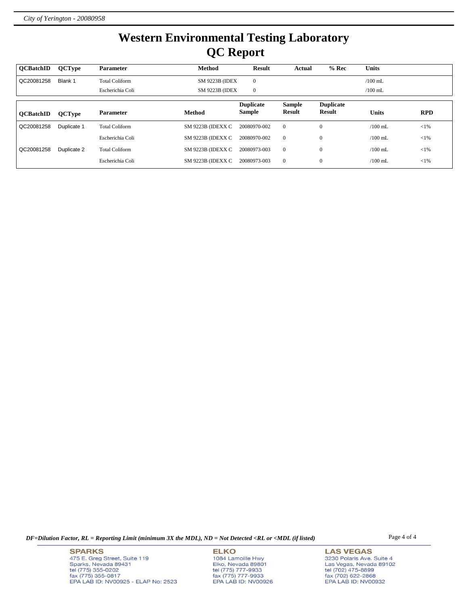# **Western Environmental Testing Laboratory QC Report**

| <b>OCBatchID</b> | <b>QCType</b> | <b>Parameter</b>      | <b>Method</b>     | Result                            | Actual                         | $%$ Rec                    | <b>Units</b> |            |
|------------------|---------------|-----------------------|-------------------|-----------------------------------|--------------------------------|----------------------------|--------------|------------|
| QC20081258       | Blank 1       | <b>Total Coliform</b> | SM 9223B (IDEX    | $\mathbf{0}$                      |                                |                            | $/100$ mL    |            |
|                  |               | Escherichia Coli      | SM 9223B (IDEX    | $\mathbf{0}$                      |                                |                            | $/100$ mL    |            |
| <b>OCBatchID</b> | <b>QCType</b> | <b>Parameter</b>      | <b>Method</b>     | <b>Duplicate</b><br><b>Sample</b> | <b>Sample</b><br><b>Result</b> | <b>Duplicate</b><br>Result | <b>Units</b> | <b>RPD</b> |
| QC20081258       | Duplicate 1   | <b>Total Coliform</b> | SM 9223B (IDEXX C | 20080970-002                      | $\mathbf{0}$                   | $\mathbf{0}$               | $/100$ mL    | $<$ 1%     |
|                  |               | Escherichia Coli      | SM 9223B (IDEXX C | 20080970-002                      | $\mathbf{0}$                   | $\mathbf{0}$               | $/100$ mL    | $<$ 1%     |
| QC20081258       | Duplicate 2   | <b>Total Coliform</b> | SM 9223B (IDEXX C | 20080973-003                      | $\mathbf{0}$                   | $\mathbf{0}$               | $/100$ mL.   | ${<}1\%$   |
|                  |               | Escherichia Coli      | SM 9223B (IDEXX C | 20080973-003                      | $\mathbf{0}$                   | $\mathbf{0}$               | $/100$ mL    | $<$ 1%     |

*DF=Dilution Factor, RL = Reporting Limit (minimum 3X the MDL), ND = Not Detected <RL or <MDL (if listed)* Page 4 of 4

**SPARKS** 475 E. Greg Street, Suite 119 Sparks, Nevada 89431<br>tel (775) 355-0202<br>fax (775) 355-0817 EPA LAB ID: NV00925 - ELAP No: 2523

**ELKO** 1084 Lamoille Hwy Elko, Nevada 89801<br>tel (775) 777-9933<br>fax (775) 777-9933 EPA LAB ID: NV00926

**LAS VEGAS** 3230 Polaris Ave. Suite 4 Las Vegas, Nevada 89102<br>tel (702) 475-8899<br>fax (702) 622-2868<br>EPA LAB ID: NV00932